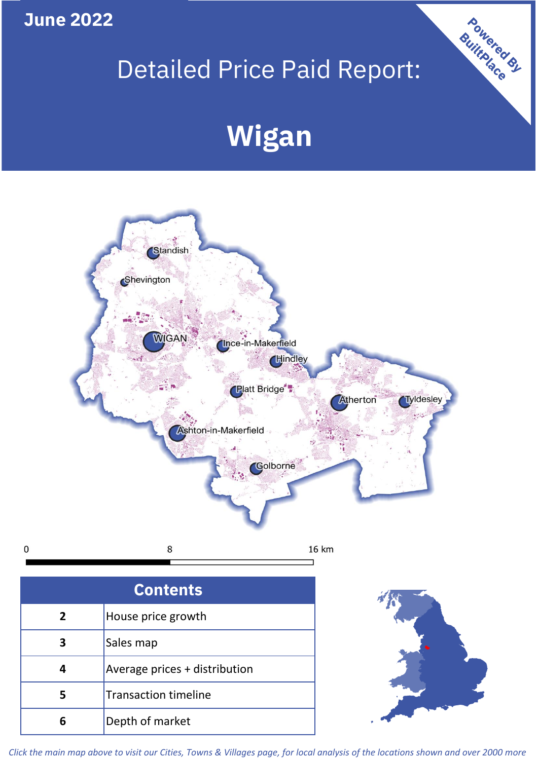**June 2022**

 $\mathbf 0$ 

## Detailed Price Paid Report:

# **Wigan**



| <b>Contents</b> |                               |  |  |
|-----------------|-------------------------------|--|--|
| $\overline{2}$  | House price growth            |  |  |
| З               | Sales map                     |  |  |
|                 | Average prices + distribution |  |  |
| 5               | <b>Transaction timeline</b>   |  |  |
| 6               | Depth of market               |  |  |



Powered By

*Click the main map above to visit our Cities, Towns & Villages page, for local analysis of the locations shown and over 2000 more*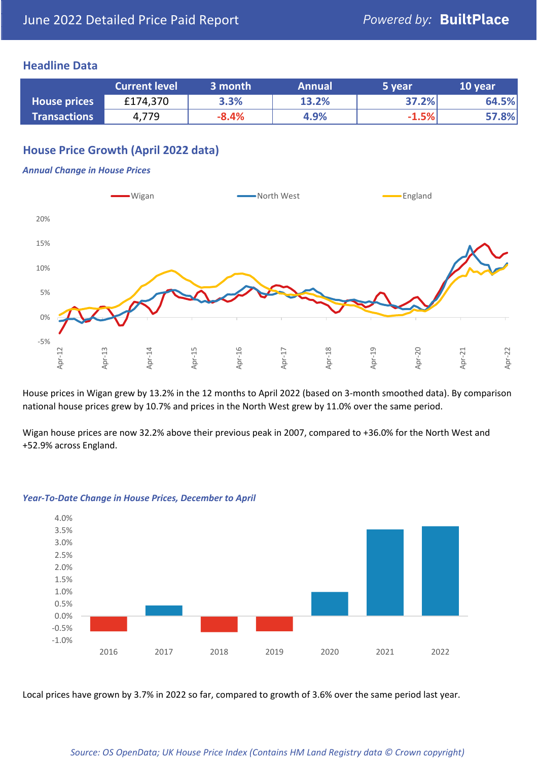#### **Headline Data**

|                     | <b>Current level</b> | 3 month | <b>Annual</b> | 5 year  | 10 year |
|---------------------|----------------------|---------|---------------|---------|---------|
| <b>House prices</b> | £174,370             | 3.3%    | 13.2%         | 37.2%   | 64.5%   |
| <b>Transactions</b> | 4,779                | $-8.4%$ | 4.9%          | $-1.5%$ | 57.8%   |

## **House Price Growth (April 2022 data)**

#### *Annual Change in House Prices*



House prices in Wigan grew by 13.2% in the 12 months to April 2022 (based on 3-month smoothed data). By comparison national house prices grew by 10.7% and prices in the North West grew by 11.0% over the same period.

Wigan house prices are now 32.2% above their previous peak in 2007, compared to +36.0% for the North West and +52.9% across England.



#### *Year-To-Date Change in House Prices, December to April*

Local prices have grown by 3.7% in 2022 so far, compared to growth of 3.6% over the same period last year.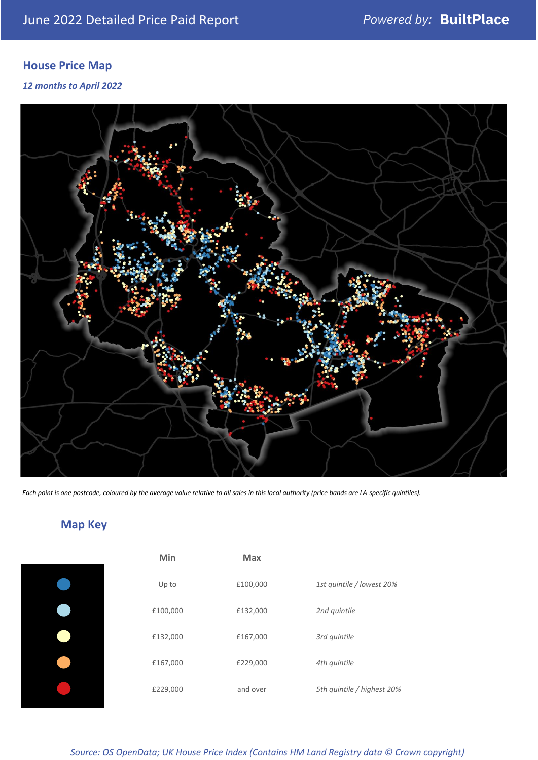## **House Price Map**

*12 months to April 2022*



*Each point is one postcode, coloured by the average value relative to all sales in this local authority (price bands are LA-specific quintiles).*

## **Map Key**

| Min      | Max      |                            |
|----------|----------|----------------------------|
| Up to    | £100,000 | 1st quintile / lowest 20%  |
| £100,000 | £132,000 | 2nd quintile               |
| £132,000 | £167,000 | 3rd quintile               |
| £167,000 | £229,000 | 4th quintile               |
| £229,000 | and over | 5th quintile / highest 20% |
|          |          |                            |

*Source: OS OpenData; UK House Price Index (Contains HM Land Registry data © Crown copyright)*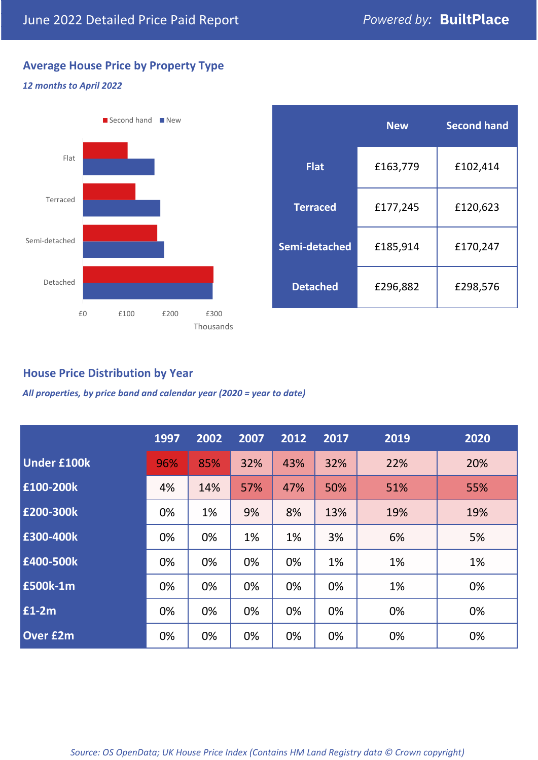## **Average House Price by Property Type**

#### *12 months to April 2022*



|                 | <b>New</b> | <b>Second hand</b> |  |  |
|-----------------|------------|--------------------|--|--|
| <b>Flat</b>     | £163,779   | £102,414           |  |  |
| <b>Terraced</b> | £177,245   | £120,623           |  |  |
| Semi-detached   | £185,914   | £170,247           |  |  |
| <b>Detached</b> | £296,882   | £298,576           |  |  |

## **House Price Distribution by Year**

*All properties, by price band and calendar year (2020 = year to date)*

|                    | 1997 | 2002 | 2007 | 2012 | 2017 | 2019 | 2020 |
|--------------------|------|------|------|------|------|------|------|
| <b>Under £100k</b> | 96%  | 85%  | 32%  | 43%  | 32%  | 22%  | 20%  |
| £100-200k          | 4%   | 14%  | 57%  | 47%  | 50%  | 51%  | 55%  |
| E200-300k          | 0%   | 1%   | 9%   | 8%   | 13%  | 19%  | 19%  |
| £300-400k          | 0%   | 0%   | 1%   | 1%   | 3%   | 6%   | 5%   |
| £400-500k          | 0%   | 0%   | 0%   | 0%   | 1%   | 1%   | 1%   |
| <b>£500k-1m</b>    | 0%   | 0%   | 0%   | 0%   | 0%   | 1%   | 0%   |
| £1-2m              | 0%   | 0%   | 0%   | 0%   | 0%   | 0%   | 0%   |
| <b>Over £2m</b>    | 0%   | 0%   | 0%   | 0%   | 0%   | 0%   | 0%   |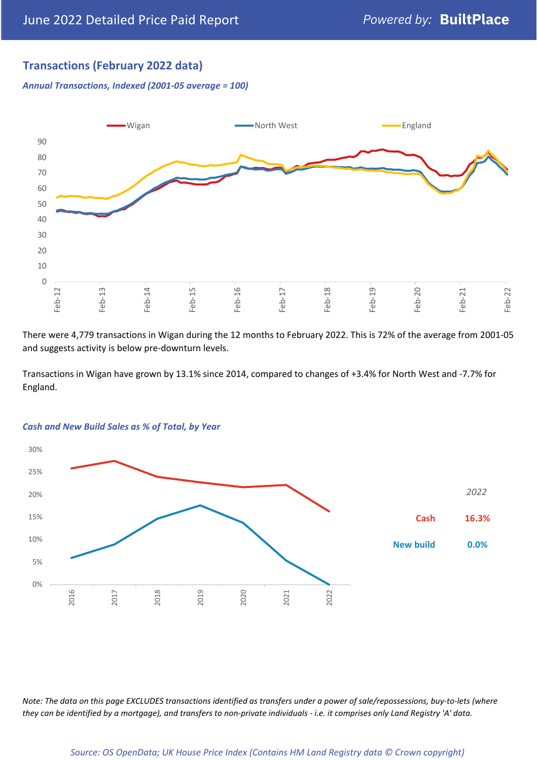## **Transactions (February 2022 data)**

*Annual Transactions, Indexed (2001-05 average = 100)*



There were 4,779 transactions in Wigan during the 12 months to February 2022. This is 72% of the average from 2001-05 and suggests activity is below pre-downturn levels.

Transactions in Wigan have grown by 13.1% since 2014, compared to changes of +3.4% for North West and -7.7% for England.



#### *Cash and New Build Sales as % of Total, by Year*

*Note: The data on this page EXCLUDES transactions identified as transfers under a power of sale/repossessions, buy-to-lets (where they can be identified by a mortgage), and transfers to non-private individuals - i.e. it comprises only Land Registry 'A' data.*